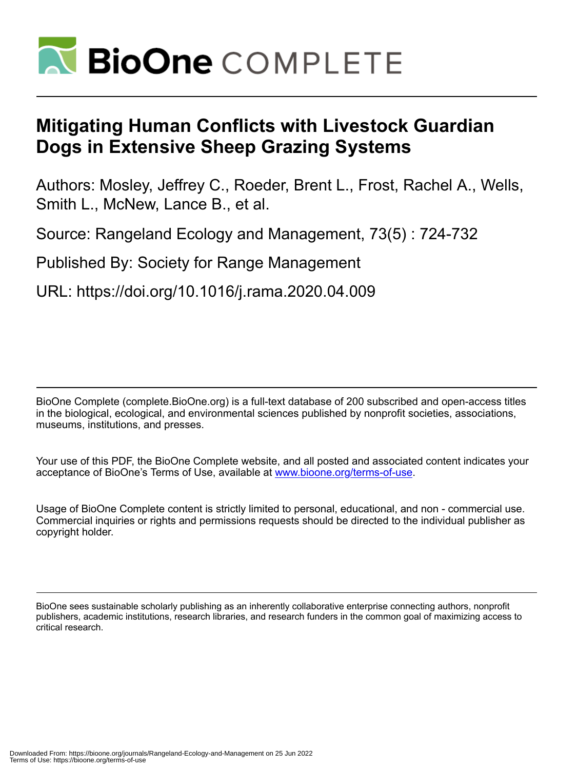

# **Mitigating Human Conflicts with Livestock Guardian Dogs in Extensive Sheep Grazing Systems**

Authors: Mosley, Jeffrey C., Roeder, Brent L., Frost, Rachel A., Wells, Smith L., McNew, Lance B., et al.

Source: Rangeland Ecology and Management, 73(5) : 724-732

Published By: Society for Range Management

URL: https://doi.org/10.1016/j.rama.2020.04.009

BioOne Complete (complete.BioOne.org) is a full-text database of 200 subscribed and open-access titles in the biological, ecological, and environmental sciences published by nonprofit societies, associations, museums, institutions, and presses.

Your use of this PDF, the BioOne Complete website, and all posted and associated content indicates your acceptance of BioOne's Terms of Use, available at www.bioone.org/terms-of-use.

Usage of BioOne Complete content is strictly limited to personal, educational, and non - commercial use. Commercial inquiries or rights and permissions requests should be directed to the individual publisher as copyright holder.

BioOne sees sustainable scholarly publishing as an inherently collaborative enterprise connecting authors, nonprofit publishers, academic institutions, research libraries, and research funders in the common goal of maximizing access to critical research.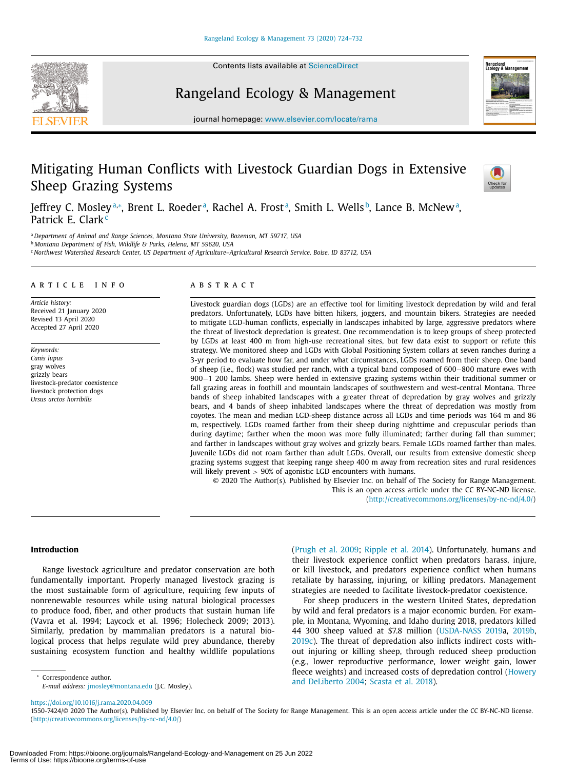Contents lists available at [ScienceDirect](http://www.ScienceDirect.com)







journal homepage: [www.elsevier.com/locate/rama](http://www.elsevier.com/locate/rama)

# Mitigating Human Conflicts with Livestock Guardian Dogs in Extensive Sheep Grazing Systems



Jeffrey C. Mosleyª\*, Brent L. Roederª, Rachel A. Frostª, Smith L. Wells<sup>b</sup>, Lance B. McNewª, Patrick E. Clark<sup>c</sup>

<sup>a</sup> *Department of Animal and Range Sciences, Montana State University, Bozeman, MT 59717, USA*

<sup>b</sup> *Montana Department of Fish, Wildlife & Parks, Helena, MT 59620, USA*

<sup>c</sup> *Northwest Watershed Research Center, US Department of Agriculture–Agricultural Research Service, Boise, ID 83712, USA*

#### a r t i c l e i n f o

*Article history:* Received 21 January 2020 Revised 13 April 2020 Accepted 27 April 2020

*Keywords: Canis lupus* gray wolves grizzly bears livestock-predator coexistence livestock protection dogs *Ursus arctos horribilis*

#### A B S T R A C T

Livestock guardian dogs (LGDs) are an effective tool for limiting livestock depredation by wild and feral predators. Unfortunately, LGDs have bitten hikers, joggers, and mountain bikers. Strategies are needed to mitigate LGD-human conflicts, especially in landscapes inhabited by large, aggressive predators where the threat of livestock depredation is greatest. One recommendation is to keep groups of sheep protected by LGDs at least 400 m from high-use recreational sites, but few data exist to support or refute this strategy. We monitored sheep and LGDs with Global Positioning System collars at seven ranches during a 3-yr period to evaluate how far, and under what circumstances, LGDs roamed from their sheep. One band of sheep (i.e., flock) was studied per ranch, with a typical band composed of 600−800 mature ewes with 900−1 200 lambs. Sheep were herded in extensive grazing systems within their traditional summer or fall grazing areas in foothill and mountain landscapes of southwestern and west-central Montana. Three bands of sheep inhabited landscapes with a greater threat of depredation by gray wolves and grizzly bears, and 4 bands of sheep inhabited landscapes where the threat of depredation was mostly from coyotes. The mean and median LGD-sheep distance across all LGDs and time periods was 164 m and 86 m, respectively. LGDs roamed farther from their sheep during nighttime and crepuscular periods than during daytime; farther when the moon was more fully illuminated; farther during fall than summer; and farther in landscapes without gray wolves and grizzly bears. Female LGDs roamed farther than males. Juvenile LGDs did not roam farther than adult LGDs. Overall, our results from extensive domestic sheep grazing systems suggest that keeping range sheep 400 m away from recreation sites and rural residences will likely prevent > 90% of agonistic LGD encounters with humans.

© 2020 The Author(s). Published by Elsevier Inc. on behalf of The Society for Range Management. This is an open access article under the CC BY-NC-ND license. [\(http://creativecommons.org/licenses/by-nc-nd/4.0/\)](http://creativecommons.org/licenses/by-nc-nd/4.0/)

## **Introduction**

Range livestock agriculture and predator conservation are both fundamentally important. Properly managed livestock grazing is the most sustainable form of agriculture, requiring few inputs of nonrenewable resources while using natural biological processes to produce food, fiber, and other products that sustain human life (Vavra et al. 1994; Laycock et al. 1996; Holecheck 2009; 2013). Similarly, predation by mammalian predators is a natural biological process that helps regulate wild prey abundance, thereby sustaining ecosystem function and healthy wildlife populations

[\(Prugh](#page-9-0) et al. 2009; [Ripple](#page-9-0) et al. 2014). Unfortunately, humans and their livestock experience conflict when predators harass, injure, or kill livestock, and predators experience conflict when humans retaliate by harassing, injuring, or killing predators. Management strategies are needed to facilitate livestock-predator coexistence.

For sheep producers in the western United States, depredation by wild and feral predators is a major economic burden. For example, in Montana, Wyoming, and Idaho during 2018, predators killed 44 300 sheep valued at \$7.8 million [\(USDA-NASS](#page-9-0) 2019a, [2019b,](#page-9-0) [2019c\)](#page-9-0). The threat of depredation also inflicts indirect costs without injuring or killing sheep, through reduced sheep production (e.g., lower reproductive performance, lower weight gain, lower fleece weights) and increased costs of [depredation](#page-8-0) control (Howery and DeLiberto 2004; [Scasta](#page-9-0) et al. 2018).

<sup>∗</sup> Correspondence author.

<https://doi.org/10.1016/j.rama.2020.04.009>

1550-7424/© 2020 The Author(s). Published by Elsevier Inc. on behalf of The Society for Range Management. This is an open access article under the CC BY-NC-ND license. [\(http://creativecommons.org/licenses/by-nc-nd/4.0/\)](http://creativecommons.org/licenses/by-nc-nd/4.0/)

*E-mail address:* [jmosley@montana.edu](mailto:jmosley@montana.edu) (J.C. Mosley).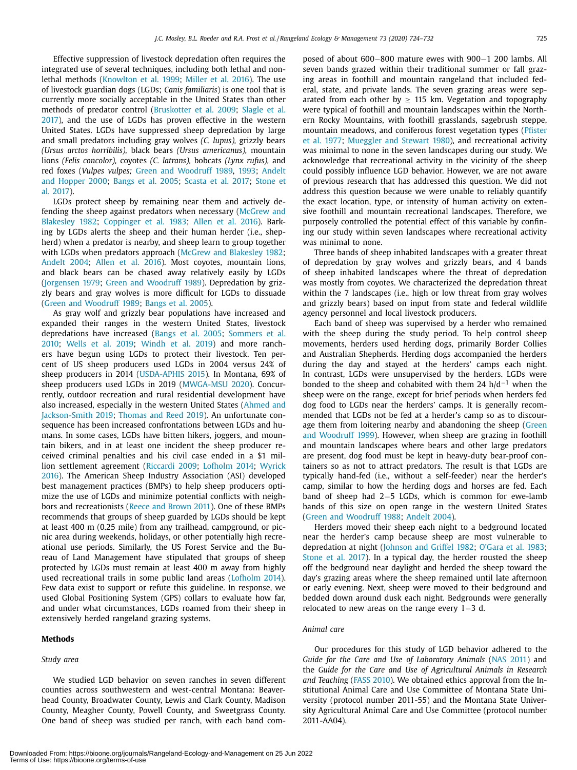Effective suppression of livestock depredation often requires the integrated use of several techniques, including both lethal and nonlethal methods [\(Knowlton](#page-8-0) et al. 1999; [Miller](#page-8-0) et al. 2016). The use of livestock guardian dogs (LGDs; *Canis familiaris*) is one tool that is currently more socially acceptable in the United States than other methods of predator control [\(](#page-9-0)[Bruskotter](#page-8-0) et al. 2009; Slagle et al. 2017), and the use of LGDs has proven effective in the western United States. LGDs have suppressed sheep depredation by large and small predators including gray wolves *(C. lupus),* grizzly bears *(Ursus arctos horribilis),* black bears *(Ursus americanus),* mountain lions *(Felis concolor),* coyotes *(C. latrans),* bobcats *(Lynx rufus),* and red foxes (*Vulpes vulpes;* Green and [Woodruff 1989,](#page-8-0) [1993;](#page-8-0) Andelt and [Hopper](#page-9-0) 2000; [Bangs](#page-8-0) et al. 2005; [Scasta](#page-9-0) et al. 2017; Stone et al. 2017).

LGDs protect sheep by remaining near them and actively defending the sheep against predators when necessary (McGrew and Blakesley 1982; [Coppinger](#page-8-0) et al. 1983; [Allen](#page-8-0) et al. 2016). Barking by LGDs alerts the sheep and their human herder (i.e., shepherd) when a predator is nearby, and sheep learn to group together with LGDs when predators approach (McGrew and [Blakesley](#page-8-0) 1982; [Andelt](#page-8-0) 2004; [Allen](#page-8-0) et al. 2016). Most coyotes, mountain lions, and black bears can be chased away relatively easily by LGDs [\(Jorgensen](#page-8-0) 1979; Green and [Woodruff 1989\)](#page-8-0). Depredation by grizzly bears and gray wolves is more difficult for LGDs to dissuade (Green and [Woodruff 1989;](#page-8-0) [Bangs](#page-8-0) et al. 2005).

As gray wolf and grizzly bear populations have increased and expanded their ranges in the western United States, livestock [depredations](#page-9-0) have increased [\(Bangs](#page-8-0) et al. 2005; Sommers et al. 2010; [Wells](#page-9-0) et al. 2019; [Windh](#page-9-0) et al. 2019) and more ranchers have begun using LGDs to protect their livestock. Ten percent of US sheep producers used LGDs in 2004 versus 24% of sheep producers in 2014 [\(USDA-APHIS](#page-9-0) 2015). In Montana, 69% of sheep producers used LGDs in 2019 [\(MWGA-MSU](#page-9-0) 2020). Concurrently, outdoor recreation and rural residential development have also increased, especially in the western United States (Ahmed and [Jackson-Smith](#page-8-0) 2019; [Thomas](#page-9-0) and Reed 2019). An unfortunate consequence has been increased confrontations between LGDs and humans. In some cases, LGDs have bitten hikers, joggers, and mountain bikers, and in at least one incident the sheep producer received criminal penalties and his civil case ended in a \$1 million settlement agreement [\(Riccardi](#page-9-0) 2009; [Lofholm](#page-8-0) 2014; Wyrick 2016). The American Sheep Industry [Association](#page-9-0) (ASI) developed best management practices (BMPs) to help sheep producers optimize the use of LGDs and minimize potential conflicts with neighbors and recreationists (Reece and [Brown](#page-9-0) 2011). One of these BMPs recommends that groups of sheep guarded by LGDs should be kept at least 400 m (0.25 mile) from any trailhead, campground, or picnic area during weekends, holidays, or other potentially high recreational use periods. Similarly, the US Forest Service and the Bureau of Land Management have stipulated that groups of sheep protected by LGDs must remain at least 400 m away from highly used recreational trails in some public land areas [\(Lofholm](#page-8-0) 2014). Few data exist to support or refute this guideline. In response, we used Global Positioning System (GPS) collars to evaluate how far, and under what circumstances, LGDs roamed from their sheep in extensively herded rangeland grazing systems.

#### **Methods**

#### *Study area*

We studied LGD behavior on seven ranches in seven different counties across southwestern and west-central Montana: Beaverhead County, Broadwater County, Lewis and Clark County, Madison County, Meagher County, Powell County, and Sweetgrass County. One band of sheep was studied per ranch, with each band composed of about 600−800 mature ewes with 900−1 200 lambs. All seven bands grazed within their traditional summer or fall grazing areas in foothill and mountain rangeland that included federal, state, and private lands. The seven grazing areas were separated from each other by  $\geq$  115 km. Vegetation and topography were typical of foothill and mountain landscapes within the Northern Rocky Mountains, with foothill grasslands, sagebrush steppe, mountain meadows, and coniferous forest vegetation types (Pfister et al. 1977; [Mueggler](#page-8-0) and Stewart 1980), and [recreational](#page-9-0) activity was minimal to none in the seven landscapes during our study*.* We acknowledge that recreational activity in the vicinity of the sheep could possibly influence LGD behavior. However, we are not aware of previous research that has addressed this question. We did not address this question because we were unable to reliably quantify the exact location, type, or intensity of human activity on extensive foothill and mountain recreational landscapes. Therefore, we purposely controlled the potential effect of this variable by confining our study within seven landscapes where recreational activity was minimal to none.

Three bands of sheep inhabited landscapes with a greater threat of depredation by gray wolves and grizzly bears, and 4 bands of sheep inhabited landscapes where the threat of depredation was mostly from coyotes. We characterized the depredation threat within the 7 landscapes (i.e., high or low threat from gray wolves and grizzly bears) based on input from state and federal wildlife agency personnel and local livestock producers.

Each band of sheep was supervised by a herder who remained with the sheep during the study period. To help control sheep movements, herders used herding dogs, primarily Border Collies and Australian Shepherds. Herding dogs accompanied the herders during the day and stayed at the herders' camps each night. In contrast, LGDs were unsupervised by the herders. LGDs were bonded to the sheep and cohabited with them 24 h/d−<sup>1</sup> when the sheep were on the range, except for brief periods when herders fed dog food to LGDs near the herders' camps. It is generally recommended that LGDs not be fed at a herder's camp so as to discourage them from loitering nearby and abandoning the sheep (Green and [Woodruff 1999\).](#page-8-0) However, when sheep are grazing in foothill and mountain landscapes where bears and other large predators are present, dog food must be kept in heavy-duty bear-proof containers so as not to attract predators. The result is that LGDs are typically hand-fed (i.e., without a self-feeder) near the herder's camp, similar to how the herding dogs and horses are fed. Each band of sheep had 2−5 LGDs, which is common for ewe-lamb bands of this size on open range in the western United States (Green and [Woodruff 1988;](#page-8-0) [Andelt](#page-8-0) 2004).

Herders moved their sheep each night to a bedground located near the herder's camp because sheep are most vulnerable to depredation at night [\(Johnson](#page-8-0) and Griffel 1982; [O'Gara](#page-9-0) et al. 1983; [Stone](#page-9-0) et al. 2017). In a typical day, the herder rousted the sheep off the bedground near daylight and herded the sheep toward the day's grazing areas where the sheep remained until late afternoon or early evening. Next, sheep were moved to their bedground and bedded down around dusk each night. Bedgrounds were generally relocated to new areas on the range every 1−3 d.

#### *Animal care*

Our procedures for this study of LGD behavior adhered to the *Guide for the Care and Use of Laboratory Animals* (NAS [2011\)](#page-9-0) and the *Guide for the Care and Use of Agricultural Animals in Research and Teaching* (FASS [2010\)](#page-8-0). We obtained ethics approval from the Institutional Animal Care and Use Committee of Montana State University (protocol number 2011-55) and the Montana State University Agricultural Animal Care and Use Committee (protocol number 2011-AA04).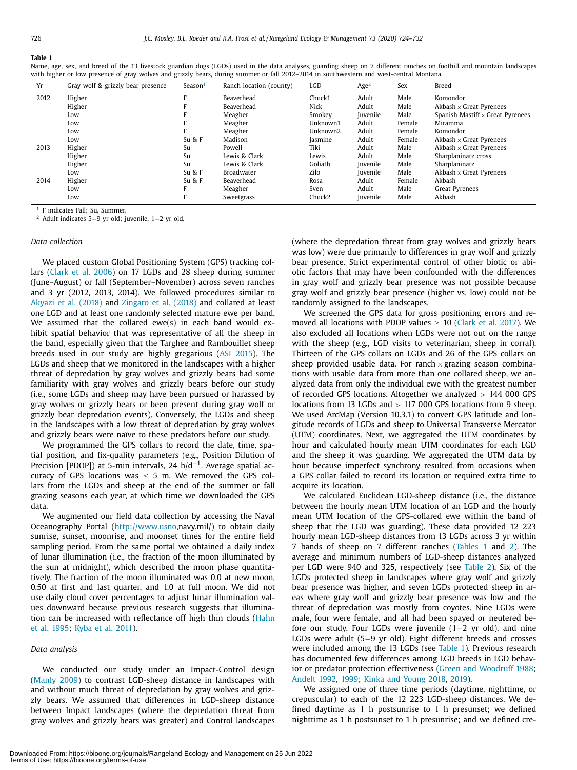#### **Table 1**

Name, age, sex, and breed of the 13 livestock guardian dogs (LGDs) used in the data analyses, guarding sheep on 7 different ranches on foothill and mountain landscapes with higher or low presence of gray wolves and grizzly bears, during summer or fall 2012–2014 in southwestern and west-central Montana.

| Yr   | Gray wolf & grizzly bear presence | Season <sup>1</sup> | Ranch location (county) | LGD                | Age <sup>2</sup> | Sex    | Breed                                   |
|------|-----------------------------------|---------------------|-------------------------|--------------------|------------------|--------|-----------------------------------------|
| 2012 | Higher                            |                     | Beaverhead              | Chuck1             | Adult            | Male   | Komondor                                |
|      | Higher                            |                     | Beaverhead              | Nick               | Adult            | Male   | Akbash $\times$ Great Pyrenees          |
|      | Low                               |                     | Meagher                 | Smokey             | Juvenile         | Male   | Spanish Mastiff $\times$ Great Pyrenees |
|      | Low                               |                     | Meagher                 | Unknown1           | Adult            | Female | Miramma                                 |
|      | Low                               |                     | Meagher                 | Unknown2           | Adult            | Female | Komondor                                |
|      | Low                               | Su & F              | Madison                 | Jasmine            | Adult            | Female | Akbash $\times$ Great Pyrenees          |
| 2013 | Higher                            | Su                  | Powell                  | Tiki               | Adult            | Male   | Akbash $\times$ Great Pyrenees          |
|      | Higher                            | Su                  | Lewis & Clark           | Lewis              | Adult            | Male   | Sharplaninatz cross                     |
|      | Higher                            | Su                  | Lewis & Clark           | Goliath            | Juvenile         | Male   | Sharplaninatz                           |
|      | Low                               | Su & F              | Broadwater              | Zilo               | Juvenile         | Male   | Akbash $\times$ Great Pyrenees          |
| 2014 | Higher                            | Su & F              | Beaverhead              | Rosa               | Adult            | Female | Akbash                                  |
|      | Low                               |                     | Meagher                 | Sven               | Adult            | Male   | Great Pyrenees                          |
|      | Low                               |                     | Sweetgrass              | Chuck <sub>2</sub> | Juvenile         | Male   | Akbash                                  |

<sup>1</sup> F indicates Fall; Su, Summer.

<sup>2</sup> Adult indicates <sup>5</sup>−<sup>9</sup> yr old; juvenile, <sup>1</sup>−<sup>2</sup> yr old.

#### *Data collection*

We placed custom Global Positioning System (GPS) tracking collars (Clark et al. [2006\)](#page-8-0) on 17 LGDs and 28 sheep during summer (June–August) or fall (September–November) across seven ranches and 3 yr (2012, 2013, 2014). We followed procedures similar to [Akyazi](#page-8-0) et al. (2018) and [Zingaro](#page-9-0) et al. (2018) and collared at least one LGD and at least one randomly selected mature ewe per band. We assumed that the collared ewe(s) in each band would exhibit spatial behavior that was representative of all the sheep in the band, especially given that the Targhee and Rambouillet sheep breeds used in our study are highly gregarious (ASI [2015\)](#page-8-0). The LGDs and sheep that we monitored in the landscapes with a higher threat of depredation by gray wolves and grizzly bears had some familiarity with gray wolves and grizzly bears before our study (i.e., some LGDs and sheep may have been pursued or harassed by gray wolves or grizzly bears or been present during gray wolf or grizzly bear depredation events). Conversely, the LGDs and sheep in the landscapes with a low threat of depredation by gray wolves and grizzly bears were naïve to these predators before our study.

We programmed the GPS collars to record the date, time, spatial position, and fix-quality parameters (e.g., Position Dilution of Precision [PDOP]) at 5-min intervals, 24 h/d<sup>-1</sup>. Average spatial accuracy of GPS locations was  $\leq$  5 m. We removed the GPS collars from the LGDs and sheep at the end of the summer or fall grazing seasons each year, at which time we downloaded the GPS data.

We augmented our field data collection by accessing the Naval Oceanography Portal [\(http://www.usno,](http://www.usno)navy.mil/) to obtain daily sunrise, sunset, moonrise, and moonset times for the entire field sampling period. From the same portal we obtained a daily index of lunar illumination (i.e., the fraction of the moon illuminated by the sun at midnight), which described the moon phase quantitatively. The fraction of the moon illuminated was 0.0 at new moon, 0.50 at first and last quarter, and 1.0 at full moon. We did not use daily cloud cover percentages to adjust lunar illumination values downward because previous research suggests that illumination can be increased with [reflectance](#page-8-0) off high thin clouds (Hahn et al. 1995; Kyba et al. [2011\)](#page-8-0).

#### *Data analysis*

We conducted our study under an Impact-Control design [\(Manly](#page-8-0) 2009) to contrast LGD-sheep distance in landscapes with and without much threat of depredation by gray wolves and grizzly bears. We assumed that differences in LGD-sheep distance between Impact landscapes (where the depredation threat from gray wolves and grizzly bears was greater) and Control landscapes

(where the depredation threat from gray wolves and grizzly bears was low) were due primarily to differences in gray wolf and grizzly bear presence. Strict experimental control of other biotic or abiotic factors that may have been confounded with the differences in gray wolf and grizzly bear presence was not possible because gray wolf and grizzly bear presence (higher vs. low) could not be randomly assigned to the landscapes.

We screened the GPS data for gross positioning errors and removed all locations with PDOP values  $\geq 10$  [\(Clark](#page-8-0) et al. 2017). We also excluded all locations when LGDs were not out on the range with the sheep (e.g., LGD visits to veterinarian, sheep in corral). Thirteen of the GPS collars on LGDs and 26 of the GPS collars on sheep provided usable data. For ranch  $\times$  grazing season combinations with usable data from more than one collared sheep, we analyzed data from only the individual ewe with the greatest number of recorded GPS locations. Altogether we analyzed  $> 144 000$  GPS locations from 13 LGDs and > 117 000 GPS locations from 9 sheep. We used ArcMap (Version 10.3.1) to convert GPS latitude and longitude records of LGDs and sheep to Universal Transverse Mercator (UTM) coordinates. Next, we aggregated the UTM coordinates by hour and calculated hourly mean UTM coordinates for each LGD and the sheep it was guarding. We aggregated the UTM data by hour because imperfect synchrony resulted from occasions when a GPS collar failed to record its location or required extra time to acquire its location.

We calculated Euclidean LGD-sheep distance (i.e., the distance between the hourly mean UTM location of an LGD and the hourly mean UTM location of the GPS-collared ewe within the band of sheep that the LGD was guarding). These data provided 12 223 hourly mean LGD-sheep distances from 13 LGDs across 3 yr within 7 bands of sheep on 7 different ranches (Tables 1 and [2\)](#page-4-0). The average and minimum numbers of LGD-sheep distances analyzed per LGD were 940 and 325, respectively (see [Table](#page-4-0) 2). Six of the LGDs protected sheep in landscapes where gray wolf and grizzly bear presence was higher, and seven LGDs protected sheep in areas where gray wolf and grizzly bear presence was low and the threat of depredation was mostly from coyotes. Nine LGDs were male, four were female, and all had been spayed or neutered before our study. Four LGDs were juvenile (1−2 yr old), and nine LGDs were adult (5−9 yr old). Eight different breeds and crosses were included among the 13 LGDs (see Table 1). Previous research has documented few differences among LGD breeds in LGD behavior or predator protection effectiveness (Green and [Woodruff 1988;](#page-8-0) [Andelt](#page-8-0) 1992, [1999;](#page-8-0) Kinka and [Young](#page-8-0) 2018, [2019\)](#page-8-0).

We assigned one of three time periods (daytime, nighttime, or crepuscular) to each of the 12 223 LGD-sheep distances. We defined daytime as 1 h postsunrise to 1 h presunset; we defined nighttime as 1 h postsunset to 1 h presunrise; and we defined cre-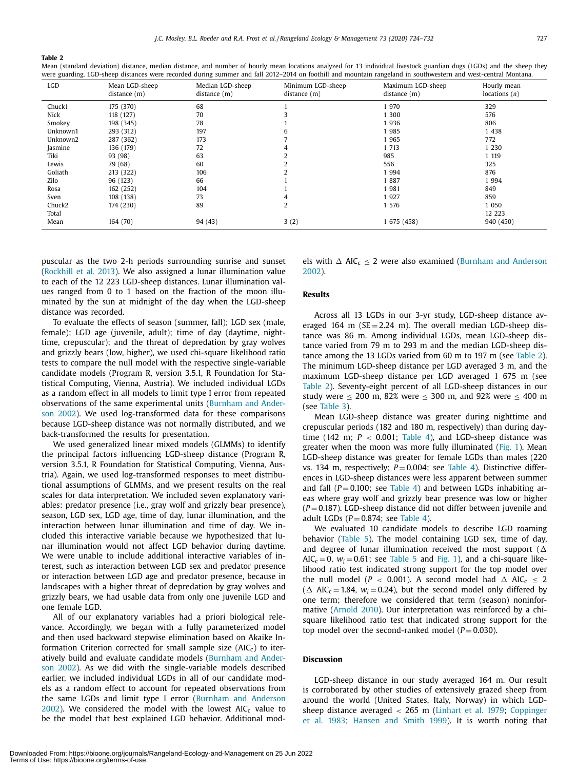#### <span id="page-4-0"></span>**Table 2**

Mean (standard deviation) distance, median distance, and number of hourly mean locations analyzed for 13 individual livestock guardian dogs (LGDs) and the sheep they were guarding. LGD-sheep distances were recorded during summer and fall 2012–2014 on foothill and mountain rangeland in southwestern and west-central Montana.

| LGD      | Mean LGD-sheep<br>distance(m) | Median LGD-sheep<br>$distance$ (m) | Minimum LGD-sheep<br>$distance$ (m) | Maximum LGD-sheep<br>distance $(m)$ | Hourly mean<br>locations $(n)$ |
|----------|-------------------------------|------------------------------------|-------------------------------------|-------------------------------------|--------------------------------|
| Chuck1   | 175 (370)                     | 68                                 |                                     | 1 970                               | 329                            |
| Nick     | 118 (127)                     | 70                                 |                                     | 1 300                               | 576                            |
| Smokey   | 198 (345)                     | 78                                 |                                     | 1936                                | 806                            |
| Unknown1 | 293 (312)                     | 197                                | b                                   | 1985                                | 1 4 3 8                        |
| Unknown2 | 287 (362)                     | 173                                |                                     | 1 9 6 5                             | 772                            |
| Jasmine  | 136 (179)                     | 72                                 | 4                                   | 1 7 1 3                             | 1 2 3 0                        |
| Tiki     | 93 (98)                       | 63                                 |                                     | 985                                 | 1 1 1 9                        |
| Lewis    | 79 (68)                       | 60                                 |                                     | 556                                 | 325                            |
| Goliath  | 213 (322)                     | 106                                |                                     | 994                                 | 876                            |
| Zilo     | 96 (123)                      | 66                                 |                                     | 1887                                | 1 9 9 4                        |
| Rosa     | 162 (252)                     | 104                                |                                     | 1981                                | 849                            |
| Sven     | 108 (138)                     | 73                                 | 4                                   | 1927                                | 859                            |
| Chuck2   | 174 (230)                     | 89                                 | 2                                   | 1 576                               | 1 0 5 0                        |
| Total    |                               |                                    |                                     |                                     | 12 2 23                        |
| Mean     | 164 (70)                      | 94 (43)                            | 3(2)                                | 1 675 (458)                         | 940 (450)                      |

puscular as the two 2-h periods surrounding sunrise and sunset [\(Rockhill](#page-9-0) et al. 2013). We also assigned a lunar illumination value to each of the 12 223 LGD-sheep distances. Lunar illumination values ranged from 0 to 1 based on the fraction of the moon illuminated by the sun at midnight of the day when the LGD-sheep distance was recorded.

To evaluate the effects of season (summer, fall); LGD sex (male, female); LGD age (juvenile, adult); time of day (daytime, nighttime, crepuscular); and the threat of depredation by gray wolves and grizzly bears (low, higher), we used chi-square likelihood ratio tests to compare the null model with the respective single-variable candidate models (Program R, version 3.5.1, R Foundation for Statistical Computing, Vienna, Austria). We included individual LGDs as a random effect in all models to limit type I error from repeated observations of the same experimental units (Burnham and Anderson 2002). We used [log-transformed](#page-8-0) data for these comparisons because LGD-sheep distance was not normally distributed, and we back-transformed the results for presentation.

We used generalized linear mixed models (GLMMs) to identify the principal factors influencing LGD-sheep distance (Program R, version 3.5.1, R Foundation for Statistical Computing, Vienna, Austria). Again, we used log-transformed responses to meet distributional assumptions of GLMMs, and we present results on the real scales for data interpretation. We included seven explanatory variables: predator presence (i.e., gray wolf and grizzly bear presence), season, LGD sex, LGD age, time of day, lunar illumination, and the interaction between lunar illumination and time of day. We included this interactive variable because we hypothesized that lunar illumination would not affect LGD behavior during daytime. We were unable to include additional interactive variables of interest, such as interaction between LGD sex and predator presence or interaction between LGD age and predator presence, because in landscapes with a higher threat of depredation by gray wolves and grizzly bears, we had usable data from only one juvenile LGD and one female LGD.

All of our explanatory variables had a priori biological relevance. Accordingly, we began with a fully parameterized model and then used backward stepwise elimination based on Akaike Information Criterion corrected for small sample size  $(AIC<sub>c</sub>)$  to iteratively build and evaluate candidate models (Burnham and Anderson 2002). As we did with the [single-variable](#page-8-0) models described earlier, we included individual LGDs in all of our candidate models as a random effect to account for repeated observations from the same LGDs and limit type I error (Burnham and Anderson  $2002$ ). We [considered](#page-8-0) the model with the lowest AIC<sub>c</sub> value to be the model that best explained LGD behavior. Additional mod-

els with  $\Delta$  AIC<sub>c</sub>  $\leq$  2 were also examined [\(Burnham](#page-8-0) and Anderson 2002).

#### **Results**

Across all 13 LGDs in our 3-yr study, LGD-sheep distance averaged 164 m ( $SE = 2.24$  m). The overall median LGD-sheep distance was 86 m. Among individual LGDs, mean LGD-sheep distance varied from 79 m to 293 m and the median LGD-sheep distance among the 13 LGDs varied from 60 m to 197 m (see Table 2). The minimum LGD-sheep distance per LGD averaged 3 m, and the maximum LGD-sheep distance per LGD averaged 1 675 m (see Table 2). Seventy-eight percent of all LGD-sheep distances in our study were  $\leq$  200 m, 82% were  $\leq$  300 m, and 92% were  $\leq$  400 m (see [Table](#page-5-0) 3).

Mean LGD-sheep distance was greater during nighttime and crepuscular periods (182 and 180 m, respectively) than during daytime (142 m;  $P < 0.001$ ; [Table](#page-5-0) 4), and LGD-sheep distance was greater when the moon was more fully illuminated [\(Fig.](#page-6-0) 1). Mean LGD-sheep distance was greater for female LGDs than males (220 vs. 134 m, respectively;  $P = 0.004$ ; see [Table](#page-5-0) 4). Distinctive differences in LGD-sheep distances were less apparent between summer and fall  $(P = 0.100)$ ; see [Table](#page-5-0) 4) and between LGDs inhabiting areas where gray wolf and grizzly bear presence was low or higher  $(P = 0.187)$ . LGD-sheep distance did not differ between juvenile and adult LGDs  $(P = 0.874$ ; see [Table](#page-5-0) 4).

We evaluated 10 candidate models to describe LGD roaming behavior [\(Table](#page-5-0) 5). The model containing LGD sex, time of day, and degree of lunar illumination received the most support ( $\Delta$  $AIC_c = 0$ ,  $w_i = 0.61$ ; see [Table](#page-5-0) 5 and [Fig.](#page-6-0) 1), and a chi-square likelihood ratio test indicated strong support for the top model over the null model (*P* < 0.001). A second model had  $\triangle$  AIC<sub>c</sub>  $\leq$  2  $(\Delta$  AIC<sub>c</sub> = 1.84,  $w_i$  = 0.24), but the second model only differed by one term; therefore we considered that term (season) noninformative [\(Arnold](#page-8-0) 2010). Our interpretation was reinforced by a chisquare likelihood ratio test that indicated strong support for the top model over the second-ranked model  $(P = 0.030)$ .

#### **Discussion**

LGD-sheep distance in our study averaged 164 m. Our result is corroborated by other studies of extensively grazed sheep from around the world (United States, Italy, Norway) in which LGDsheep distance averaged < 265 m [\(Linhart](#page-8-0) et al. 1979; [Coppinger](#page-8-0) et al. 1983; [Hansen](#page-8-0) and Smith 1999). It is worth noting that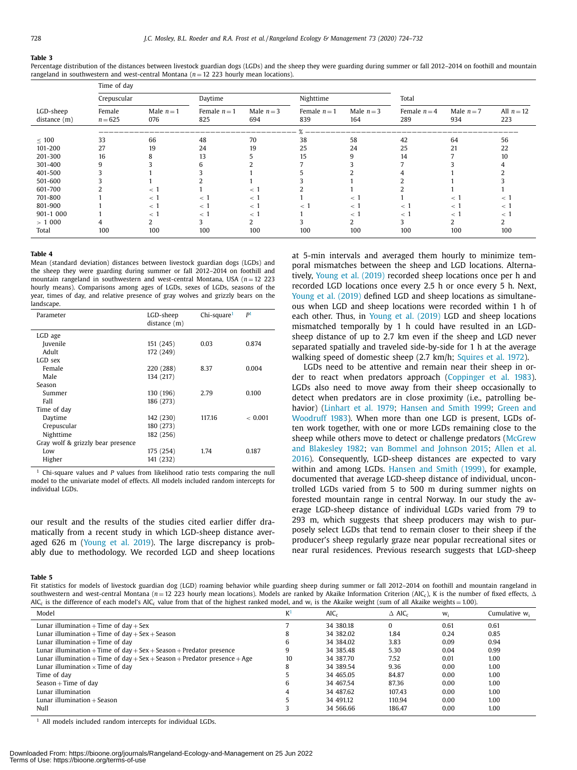#### <span id="page-5-0"></span>**Table 3**

Time of day

Percentage distribution of the distances between livestock guardian dogs (LGDs) and the sheep they were guarding during summer or fall 2012-2014 on foothill and mountain rangeland in southwestern and west-central Montana  $(n = 12 223$  hourly mean locations).

|                             | rine or day         |                     |                       |                     |                     |                   |                     |                   |                     |
|-----------------------------|---------------------|---------------------|-----------------------|---------------------|---------------------|-------------------|---------------------|-------------------|---------------------|
|                             | Crepuscular         |                     | Daytime               |                     | Nighttime           |                   | Total               |                   |                     |
| LGD-sheep<br>$distance$ (m) | Female<br>$n = 625$ | Male $n = 1$<br>076 | Female $n = 1$<br>825 | Male $n = 3$<br>694 | Female $n=1$<br>839 | Male $n=3$<br>164 | Female $n=4$<br>289 | Male $n=7$<br>934 | All $n = 12$<br>223 |
|                             |                     |                     |                       |                     |                     |                   |                     |                   |                     |
| $\leq 100$                  | 33                  | 66                  | 48                    | 70                  | 38                  | 58                | 42                  | 64                | 56                  |
| 101-200                     | 27                  | 19                  | 24                    | 19                  | 25                  | 24                | 25                  | 21                | 22                  |
| 201-300                     | 16                  |                     | 13                    |                     | 15                  |                   | 14                  |                   | 10                  |
| 301-400                     | q                   |                     |                       |                     |                     |                   |                     |                   |                     |
| 401-500                     |                     |                     |                       |                     |                     |                   |                     |                   |                     |
| 501-600                     |                     |                     |                       |                     |                     |                   |                     |                   |                     |
| 601-700                     |                     | $\leq 1$            |                       | ← '                 |                     |                   |                     |                   |                     |
| 701-800                     |                     | $\leq 1$            | $\,<\,$ 1             | $<$ 1               |                     | < 1               |                     | ~ 1               | < 1                 |
| 801-900                     |                     | $\leq 1$            | $\,<\,1$              | $\lt 1$             | $\lt 1$             | $\lt$ 1           | $\leq$ 1            | $\leq 1$          | < 1                 |
| 901-1 000                   |                     | < 1                 | < 1                   | ا >                 |                     | $\lt$ 1           | $\lt$ 1             | $\lt$ $\sim$      | < 1                 |
| > 1000                      |                     |                     |                       |                     |                     | n.                |                     |                   | C.                  |
| Total                       | 100                 | 100                 | 100                   | 100                 | 100                 | 100               | 100                 | 100               | 100                 |

#### **Table 4**

Mean (standard deviation) distances between livestock guardian dogs (LGDs) and the sheep they were guarding during summer or fall 2012–2014 on foothill and mountain rangeland in southwestern and west-central Montana, USA (*n* = 12 223 hourly means). Comparisons among ages of LGDs, sexes of LGDs, seasons of the year, times of day, and relative presence of gray wolves and grizzly bears on the landscape.

| Parameter                         | LGD-sheep<br>distance (m) | Chi-square <sup>1</sup> | P <sup>1</sup> |
|-----------------------------------|---------------------------|-------------------------|----------------|
| LGD age                           |                           |                         |                |
| Juvenile                          | 151 (245)                 | 0.03                    | 0.874          |
| Adult                             | 172 (249)                 |                         |                |
| LGD sex                           |                           |                         |                |
| Female                            | 220 (288)                 | 8.37                    | 0.004          |
| Male                              | 134 (217)                 |                         |                |
| Season                            |                           |                         |                |
| Summer                            | 130 (196)                 | 2.79                    | 0.100          |
| Fall                              | 186 (273)                 |                         |                |
| Time of day                       |                           |                         |                |
| Daytime                           | 142 (230)                 | 117.16                  | ~< 0.001       |
| Crepuscular                       | 180 (273)                 |                         |                |
| Nighttime                         | 182 (256)                 |                         |                |
| Gray wolf & grizzly bear presence |                           |                         |                |
| Low                               | 175 (254)                 | 1.74                    | 0.187          |
| Higher                            | 141 (232)                 |                         |                |

<sup>1</sup> Chi-square values and *P* values from likelihood ratio tests comparing the null model to the univariate model of effects. All models included random intercepts for individual LGDs.

our result and the results of the studies cited earlier differ dramatically from a recent study in which LGD-sheep distance averaged 626 m [\(Young](#page-9-0) et al. 2019). The large discrepancy is probably due to methodology. We recorded LGD and sheep locations at 5-min intervals and averaged them hourly to minimize temporal mismatches between the sheep and LGD locations. Alternatively, Young et al. [\(2019\)](#page-9-0) recorded sheep locations once per h and recorded LGD locations once every 2.5 h or once every 5 h. Next, Young et al. [\(2019\)](#page-9-0) defined LGD and sheep locations as simultaneous when LGD and sheep locations were recorded within 1 h of each other. Thus, in Young et al. [\(2019\)](#page-9-0) LGD and sheep locations mismatched temporally by 1 h could have resulted in an LGDsheep distance of up to 2.7 km even if the sheep and LGD never separated spatially and traveled side-by-side for 1 h at the average walking speed of domestic sheep (2.7 km/h; [Squires](#page-9-0) et al. 1972).

LGDs need to be attentive and remain near their sheep in order to react when predators approach [\(Coppinger](#page-8-0) et al. 1983). LGDs also need to move away from their sheep occasionally to detect when predators are in close proximity (i.e., patrolling behavior) [\(Linhart](#page-8-0) et al. 1979; [Hansen](#page-8-0) and Smith 1999; Green and [Woodruff 1983\).](#page-8-0) When more than one LGD is present, LGDs often work together, with one or more LGDs remaining close to the sheep while others move to detect or challenge [predators](#page-8-0) (McGrew and Blakesley 1982; van [Bommel](#page-9-0) and Johnson 2015; Allen et al. 2016). [Consequently,](#page-8-0) LGD-sheep distances are expected to vary within and among LGDs. [Hansen](#page-8-0) and Smith (1999), for example, documented that average LGD-sheep distance of individual, uncontrolled LGDs varied from 5 to 500 m during summer nights on forested mountain range in central Norway. In our study the average LGD-sheep distance of individual LGDs varied from 79 to 293 m, which suggests that sheep producers may wish to purposely select LGDs that tend to remain closer to their sheep if the producer's sheep regularly graze near popular recreational sites or near rural residences. Previous research suggests that LGD-sheep

#### **Table 5**

Fit statistics for models of livestock guardian dog (LGD) roaming behavior while guarding sheep during summer or fall 2012–2014 on foothill and mountain rangeland in southwestern and west-central Montana ( $n$   $=$  12 223 hourly mean locations). Models are ranked by Akaike Information Criterion (AIC<sub>c</sub>), K is the number of fixed effects,  $\Delta$ AIC<sub>c</sub> is the difference of each model's AIC<sub>c</sub> value from that of the highest ranked model, and w<sub>i</sub> is the Akaike weight (sum of all Akaike weights = 1.00).

| Model                                                                       | $\rm K^1$ | AIC <sub>c</sub> | $\triangle$ AIC <sub>c</sub> | $W_i$ | Cumulative w <sub>i</sub> |
|-----------------------------------------------------------------------------|-----------|------------------|------------------------------|-------|---------------------------|
| Lunar illumination + Time of $day + Sex$                                    |           | 34 380.18        | 0                            | 0.61  | 0.61                      |
| Lunar illumination + Time of $day + Sex + Season$                           | 8         | 34 382.02        | 1.84                         | 0.24  | 0.85                      |
| Lunar illumination $+$ Time of day                                          | 6         | 34 384.02        | 3.83                         | 0.09  | 0.94                      |
| Lunar illumination + Time of $day + Sex + Season + Predator$ presence       | 9         | 34 385.48        | 5.30                         | 0.04  | 0.99                      |
| Lunar illumination + Time of $day + Sex + Season + Predator presence + Age$ | 10        | 34 387.70        | 7.52                         | 0.01  | 1.00                      |
| Lunar illumination $\times$ Time of day                                     | 8         | 34 389.54        | 9.36                         | 0.00  | 1.00                      |
| Time of day                                                                 |           | 34 465.05        | 84.87                        | 0.00  | 1.00                      |
| Season + Time of day                                                        | 6         | 34 467.54        | 87.36                        | 0.00  | 1.00                      |
| Lunar illumination                                                          |           | 34 487.62        | 107.43                       | 0.00  | 1.00                      |
| Lunar illumination + Season                                                 |           | 34 491.12        | 110.94                       | 0.00  | 1.00                      |
| Null                                                                        |           | 34 566.66        | 186.47                       | 0.00  | 1.00                      |

<sup>1</sup> All models included random intercepts for individual LGDs.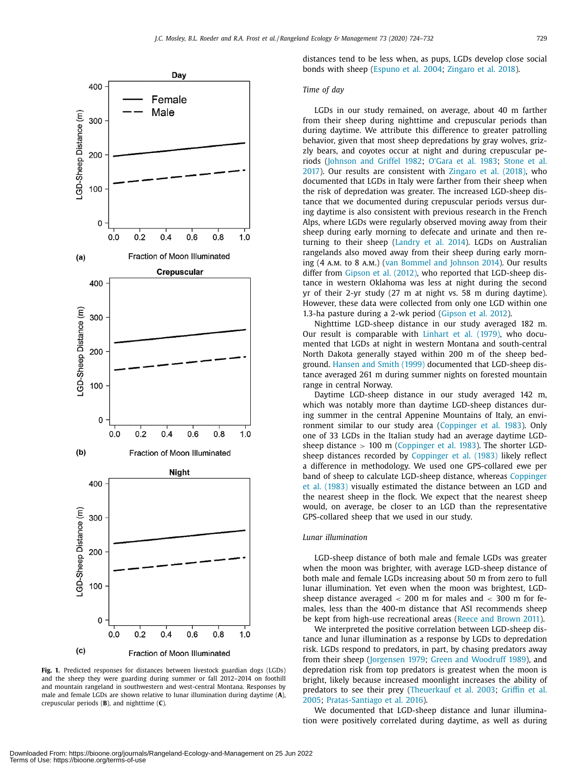<span id="page-6-0"></span>

**Fig. 1.** Predicted responses for distances between livestock guardian dogs (LGDs) and the sheep they were guarding during summer or fall 2012–2014 on foothill and mountain rangeland in southwestern and west-central Montana. Responses by male and female LGDs are shown relative to lunar illumination during daytime (**A**), crepuscular periods (**B**), and nighttime (**C**).

distances tend to be less when, as pups, LGDs develop close social bonds with sheep [\(Espuno](#page-8-0) et al. 2004; [Zingaro](#page-9-0) et al. 2018).

#### *Time of day*

LGDs in our study remained, on average, about 40 m farther from their sheep during nighttime and crepuscular periods than during daytime. We attribute this difference to greater patrolling behavior, given that most sheep depredations by gray wolves, grizzly bears, and coyotes occur at night and during crepuscular periods [\(Johnson](#page-8-0) and Griffel 1982; [O'Gara](#page-9-0) et al. 1983; Stone et al. 2017). Our results are [consistent](#page-9-0) with [Zingaro](#page-9-0) et al. (2018), who documented that LGDs in Italy were farther from their sheep when the risk of depredation was greater. The increased LGD-sheep distance that we documented during crepuscular periods versus during daytime is also consistent with previous research in the French Alps, where LGDs were regularly observed moving away from their sheep during early morning to defecate and urinate and then returning to their sheep [\(Landry](#page-8-0) et al. 2014). LGDs on Australian rangelands also moved away from their sheep during early morning (4 a.m. to 8 a.m.) (van [Bommel](#page-9-0) and Johnson 2014). Our results differ from [Gipson](#page-8-0) et al. (2012), who reported that LGD-sheep distance in western Oklahoma was less at night during the second yr of their 2-yr study (27 m at night vs. 58 m during daytime). However, these data were collected from only one LGD within one 1.3-ha pasture during a 2-wk period [\(Gipson](#page-8-0) et al. 2012).

Nighttime LGD-sheep distance in our study averaged 182 m. Our result is comparable with [Linhart](#page-8-0) et al. (1979), who documented that LGDs at night in western Montana and south-central North Dakota generally stayed within 200 m of the sheep bedground. [Hansen](#page-8-0) and Smith (1999) documented that LGD-sheep distance averaged 261 m during summer nights on forested mountain range in central Norway.

Daytime LGD-sheep distance in our study averaged 142 m, which was notably more than daytime LGD-sheep distances during summer in the central Appenine Mountains of Italy, an environment similar to our study area [\(Coppinger](#page-8-0) et al. 1983). Only one of 33 LGDs in the Italian study had an average daytime LGDsheep distance  $> 100$  m [\(Coppinger](#page-8-0) et al. 1983). The shorter LGDsheep distances recorded by [Coppinger](#page-8-0) et al. (1983) likely reflect a difference in methodology. We used one GPS-collared ewe per band of sheep to calculate [LGD-sheep](#page-8-0) distance, whereas Coppinger et al. (1983) visually estimated the distance between an LGD and the nearest sheep in the flock. We expect that the nearest sheep would, on average, be closer to an LGD than the representative GPS-collared sheep that we used in our study.

#### *Lunar illumination*

LGD-sheep distance of both male and female LGDs was greater when the moon was brighter, with average LGD-sheep distance of both male and female LGDs increasing about 50 m from zero to full lunar illumination. Yet even when the moon was brightest, LGDsheep distance averaged < 200 m for males and < 300 m for females, less than the 400-m distance that ASI recommends sheep be kept from high-use recreational areas (Reece and [Brown](#page-9-0) 2011).

We interpreted the positive correlation between LGD-sheep distance and lunar illumination as a response by LGDs to depredation risk. LGDs respond to predators, in part, by chasing predators away from their sheep [\(Jorgensen](#page-8-0) 1979; Green and [Woodruff 1989\)](#page-8-0), and depredation risk from top predators is greatest when the moon is bright, likely because increased moonlight increases the ability of predators to see their prey [\(Theuerkauf](#page-9-0) et al. 2003; Griffin et al. 2005; [Pratas-Santiago](#page-8-0) et al. 2016).

We documented that LGD-sheep distance and lunar illumination were positively correlated during daytime, as well as during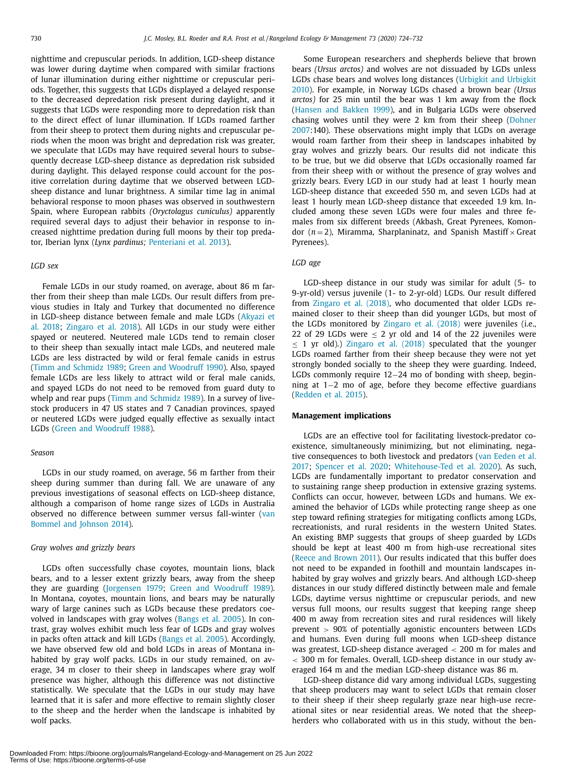nighttime and crepuscular periods. In addition, LGD-sheep distance was lower during daytime when compared with similar fractions of lunar illumination during either nighttime or crepuscular periods. Together, this suggests that LGDs displayed a delayed response to the decreased depredation risk present during daylight, and it suggests that LGDs were responding more to depredation risk than to the direct effect of lunar illumination. If LGDs roamed farther from their sheep to protect them during nights and crepuscular periods when the moon was bright and depredation risk was greater, we speculate that LGDs may have required several hours to subsequently decrease LGD-sheep distance as depredation risk subsided during daylight. This delayed response could account for the positive correlation during daytime that we observed between LGDsheep distance and lunar brightness. A similar time lag in animal behavioral response to moon phases was observed in southwestern Spain, where European rabbits *(Oryctolagus cuniculus)* apparently required several days to adjust their behavior in response to increased nighttime predation during full moons by their top predator, Iberian lynx (*Lynx pardinus;* [Penteriani](#page-9-0) et al. 2013).

#### *LGD sex*

Female LGDs in our study roamed, on average, about 86 m farther from their sheep than male LGDs. Our result differs from previous studies in Italy and Turkey that documented no difference in [LGD-sheep](#page-8-0) distance between female and male LGDs (Akyazi et al. 2018; [Zingaro](#page-9-0) et al. 2018). All LGDs in our study were either spayed or neutered. Neutered male LGDs tend to remain closer to their sheep than sexually intact male LGDs, and neutered male LGDs are less distracted by wild or feral female canids in estrus (Timm and [Schmidz](#page-9-0) 1989; Green and [Woodruff 1990\)](#page-8-0). Also, spayed female LGDs are less likely to attract wild or feral male canids, and spayed LGDs do not need to be removed from guard duty to whelp and rear pups (Timm and [Schmidz](#page-9-0) 1989). In a survey of livestock producers in 47 US states and 7 Canadian provinces, spayed or neutered LGDs were judged equally effective as sexually intact LGDs (Green and [Woodruff 1988\)](#page-8-0).

#### *Season*

LGDs in our study roamed, on average, 56 m farther from their sheep during summer than during fall. We are unaware of any previous investigations of seasonal effects on LGD-sheep distance, although a comparison of home range sizes of LGDs in Australia observed no difference between summer versus [fall-winter](#page-9-0) (van Bommel and Johnson 2014).

#### *Gray wolves and grizzly bears*

LGDs often successfully chase coyotes, mountain lions, black bears, and to a lesser extent grizzly bears, away from the sheep they are guarding [\(Jorgensen](#page-8-0) 1979; Green and [Woodruff 1989\)](#page-8-0). In Montana, coyotes, mountain lions, and bears may be naturally wary of large canines such as LGDs because these predators coevolved in landscapes with gray wolves [\(Bangs](#page-8-0) et al. 2005). In contrast, gray wolves exhibit much less fear of LGDs and gray wolves in packs often attack and kill LGDs [\(Bangs](#page-8-0) et al. 2005). Accordingly, we have observed few old and bold LGDs in areas of Montana inhabited by gray wolf packs. LGDs in our study remained, on average, 34 m closer to their sheep in landscapes where gray wolf presence was higher, although this difference was not distinctive statistically. We speculate that the LGDs in our study may have learned that it is safer and more effective to remain slightly closer to the sheep and the herder when the landscape is inhabited by wolf packs.

Some European researchers and shepherds believe that brown bears *(Ursus arctos)* and wolves are not dissuaded by LGDs unless LGDs chase bears and wolves long [distances](#page-9-0) (Urbigkit and Urbigkit 2010). For example, in Norway LGDs chased a brown bear *(Ursus arctos)* for 25 min until the bear was 1 km away from the flock [\(Hansen](#page-8-0) and Bakken 1999), and in Bulgaria LGDs were observed chasing wolves until they were 2 km from their sheep (Dohner 2007:140). These [observations](#page-8-0) might imply that LGDs on average would roam farther from their sheep in landscapes inhabited by gray wolves and grizzly bears. Our results did not indicate this to be true, but we did observe that LGDs occasionally roamed far from their sheep with or without the presence of gray wolves and grizzly bears. Every LGD in our study had at least 1 hourly mean LGD-sheep distance that exceeded 550 m, and seven LGDs had at least 1 hourly mean LGD-sheep distance that exceeded 1.9 km. Included among these seven LGDs were four males and three females from six different breeds (Akbash, Great Pyrenees, Komondor  $(n=2)$ , Miramma, Sharplaninatz, and Spanish Mastiff  $\times$  Great Pyrenees).

## *LGD age*

LGD-sheep distance in our study was similar for adult (5- to 9-yr-old) versus juvenile (1- to 2-yr-old) LGDs. Our result differed from [Zingaro](#page-9-0) et al. (2018), who documented that older LGDs remained closer to their sheep than did younger LGDs, but most of the LGDs monitored by [Zingaro](#page-9-0) et al. (2018) were juveniles (i.e., 22 of 29 LGDs were  $\leq$  2 yr old and 14 of the 22 juveniles were  $\leq$  1 yr old).) [Zingaro](#page-9-0) et al. (2018) speculated that the younger LGDs roamed farther from their sheep because they were not yet strongly bonded socially to the sheep they were guarding. Indeed, LGDs commonly require 12−24 mo of bonding with sheep, beginning at 1−2 mo of age, before they become effective guardians [\(Redden](#page-9-0) et al. 2015).

# **Management implications**

LGDs are an effective tool for facilitating livestock-predator coexistence, simultaneously minimizing, but not eliminating, negative consequences to both livestock and predators (van Eeden et al. 2017; [Spencer](#page-9-0) et al. 2020; [Whitehouse-Ted](#page-9-0) et al. 2020). As such, LGDs are fundamentally important to predator conservation and to sustaining range sheep production in extensive grazing systems. Conflicts can occur, however, between LGDs and humans. We examined the behavior of LGDs while protecting range sheep as one step toward refining strategies for mitigating conflicts among LGDs, recreationists, and rural residents in the western United States. An existing BMP suggests that groups of sheep guarded by LGDs should be kept at least 400 m from high-use recreational sites (Reece and [Brown](#page-9-0) 2011). Our results indicated that this buffer does not need to be expanded in foothill and mountain landscapes inhabited by gray wolves and grizzly bears. And although LGD-sheep distances in our study differed distinctly between male and female LGDs, daytime versus nighttime or crepuscular periods, and new versus full moons, our results suggest that keeping range sheep 400 m away from recreation sites and rural residences will likely prevent > 90% of potentially agonistic encounters between LGDs and humans. Even during full moons when LGD-sheep distance was greatest, LGD-sheep distance averaged < 200 m for males and < 300 m for females. Overall, LGD-sheep distance in our study averaged 164 m and the median LGD-sheep distance was 86 m.

LGD-sheep distance did vary among individual LGDs, suggesting that sheep producers may want to select LGDs that remain closer to their sheep if their sheep regularly graze near high-use recreational sites or near residential areas. We noted that the sheepherders who collaborated with us in this study, without the ben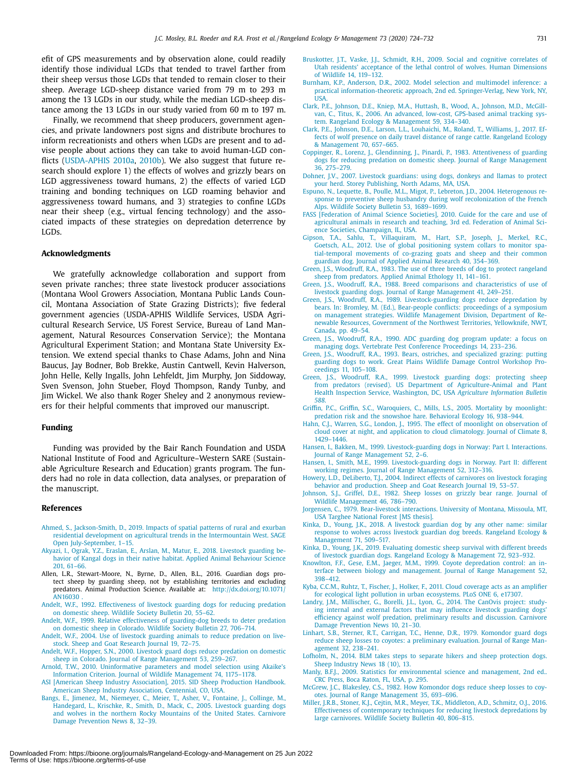<span id="page-8-0"></span>efit of GPS measurements and by observation alone, could readily identify those individual LGDs that tended to travel farther from their sheep versus those LGDs that tended to remain closer to their sheep. Average LGD-sheep distance varied from 79 m to 293 m among the 13 LGDs in our study, while the median LGD-sheep distance among the 13 LGDs in our study varied from 60 m to 197 m.

Finally, we recommend that sheep producers, government agencies, and private landowners post signs and distribute brochures to inform recreationists and others when LGDs are present and to advise people about actions they can take to avoid human-LGD conflicts [\(USDA-APHIS](#page-9-0) 2010a, [2010b\)](#page-9-0). We also suggest that future research should explore 1) the effects of wolves and grizzly bears on LGD aggressiveness toward humans, 2) the effects of varied LGD training and bonding techniques on LGD roaming behavior and aggressiveness toward humans, and 3) strategies to confine LGDs near their sheep (e.g., virtual fencing technology) and the associated impacts of these strategies on depredation deterrence by LGDs.

#### **Acknowledgments**

We gratefully acknowledge collaboration and support from seven private ranches; three state livestock producer associations (Montana Wool Growers Association, Montana Public Lands Council, Montana Association of State Grazing Districts); five federal government agencies (USDA-APHIS Wildlife Services, USDA Agricultural Research Service, US Forest Service, Bureau of Land Management, Natural Resources Conservation Service); the Montana Agricultural Experiment Station; and Montana State University Extension. We extend special thanks to Chase Adams, John and Nina Baucus, Jay Bodner, Bob Brekke, Austin Cantwell, Kevin Halverson, John Helle, Kelly Ingalls, John Lehfeldt, Jim Murphy, Jon Siddoway, Sven Svenson, John Stueber, Floyd Thompson, Randy Tunby, and Jim Wickel. We also thank Roger Sheley and 2 anonymous reviewers for their helpful comments that improved our manuscript.

#### **Funding**

Funding was provided by the Bair Ranch Foundation and USDA National Institute of Food and Agriculture–Western SARE (Sustainable Agriculture Research and Education) grants program. The funders had no role in data collection, data analyses, or preparation of the manuscript.

#### **References**

- [Ahmed,](http://refhub.elsevier.com/S1550-7424(20)30051-8/sbref0001) S., [Jackson-Smith,](http://refhub.elsevier.com/S1550-7424(20)30051-8/sbref0001) D., 2019. Impacts of spatial patterns of rural and exurban residential development on agricultural trends in the Intermountain West. SAGE Open [July-September,](http://refhub.elsevier.com/S1550-7424(20)30051-8/sbref0001) 1–15.
- [Akyazi,](http://refhub.elsevier.com/S1550-7424(20)30051-8/sbref0002) I., [Ograk,](http://refhub.elsevier.com/S1550-7424(20)30051-8/sbref0002) Y.Z., [Eraslan,](http://refhub.elsevier.com/S1550-7424(20)30051-8/sbref0002) E., [Arslan,](http://refhub.elsevier.com/S1550-7424(20)30051-8/sbref0002) M., [Matur,](http://refhub.elsevier.com/S1550-7424(20)30051-8/sbref0002) E., 2018. Livestock guarding behavior of Kangal dogs in their native habitat. Applied Animal [Behaviour](http://refhub.elsevier.com/S1550-7424(20)30051-8/sbref0002) Science 201, 61–66.
- Allen, L.R., Stewart-Moore, N., Byrne, D., Allen, B.L., 2016. Guardian dogs protect sheep by guarding sheep, not by establishing territories and excluding predators. Animal Production Science. Available at: [http://dx.doi.org/10.1071/](http://dx.doi.org/10.1071/AN16030) AN16030 .
- [Andelt,](http://refhub.elsevier.com/S1550-7424(20)30051-8/sbref0004) W.F., 1992. [Effectiveness](http://refhub.elsevier.com/S1550-7424(20)30051-8/sbref0004) of livestock guarding dogs for reducing predation on domestic sheep. Wildlife Society Bulletin 20, 55–62.
- [Andelt,](http://refhub.elsevier.com/S1550-7424(20)30051-8/sbref0005) W.F., 1999. Relative effectiveness of [guarding-dog](http://refhub.elsevier.com/S1550-7424(20)30051-8/sbref0005) breeds to deter predation on domestic sheep in Colorado. Wildlife Society Bulletin 27, 706–714.
- [Andelt,](http://refhub.elsevier.com/S1550-7424(20)30051-8/sbref0006) W.F., 2004. Use of livestock guarding animals to reduce [predation](http://refhub.elsevier.com/S1550-7424(20)30051-8/sbref0006) on livestock. Sheep and Goat Research Journal 19, 72–75.
- [Andelt,](http://refhub.elsevier.com/S1550-7424(20)30051-8/sbref0007) W.F., [Hopper,](http://refhub.elsevier.com/S1550-7424(20)30051-8/sbref0007) S.N., 2000. Livestock guard dogs reduce predation on domestic sheep in Colorado. Journal of Range [Management](http://refhub.elsevier.com/S1550-7424(20)30051-8/sbref0007) 53, 259–267.
- [Arnold,](http://refhub.elsevier.com/S1550-7424(20)30051-8/sbref0008) T.W., 2010. [Uninformative](http://refhub.elsevier.com/S1550-7424(20)30051-8/sbref0008) parameters and model selection using Akaike's Information Criterion. Journal of Wildlife Management 74, 1175–1178.
- ASI [American Sheep Industry [Association\],](http://refhub.elsevier.com/S1550-7424(20)30051-8/sbref0009) 2015. SID Sheep Production Handbook. American Sheep Industry Association, Centennial, CO, USA.
- [Bangs,](http://refhub.elsevier.com/S1550-7424(20)30051-8/sbref0010) E., [Jimenez,](http://refhub.elsevier.com/S1550-7424(20)30051-8/sbref0010) M., [Niemeyer,](http://refhub.elsevier.com/S1550-7424(20)30051-8/sbref0010) C., [Meier,](http://refhub.elsevier.com/S1550-7424(20)30051-8/sbref0010) T., [Asher,](http://refhub.elsevier.com/S1550-7424(20)30051-8/sbref0010) V., [Fontaine,](http://refhub.elsevier.com/S1550-7424(20)30051-8/sbref0010) J., [Collinge,](http://refhub.elsevier.com/S1550-7424(20)30051-8/sbref0010) M., [Handegard,](http://refhub.elsevier.com/S1550-7424(20)30051-8/sbref0010) L., [Krischke,](http://refhub.elsevier.com/S1550-7424(20)30051-8/sbref0010) R., [Smith,](http://refhub.elsevier.com/S1550-7424(20)30051-8/sbref0010) D., [Mack,](http://refhub.elsevier.com/S1550-7424(20)30051-8/sbref0010) C., 2005. Livestock guarding dogs and wolves in the northern Rocky Mountains of the United States. Carnivore Damage Prevention News 8, 32–39.
- [Bruskotter,](http://refhub.elsevier.com/S1550-7424(20)30051-8/sbref0011) J.T., [Vaske,](http://refhub.elsevier.com/S1550-7424(20)30051-8/sbref0011) J.J., [Schmidt,](http://refhub.elsevier.com/S1550-7424(20)30051-8/sbref0011) R.H., 2009. Social and cognitive correlates of Utah residents' acceptance of the lethal control of wolves. Human [Dimensions](http://refhub.elsevier.com/S1550-7424(20)30051-8/sbref0011) of Wildlife 14, 119–132.
- [Burnham,](http://refhub.elsevier.com/S1550-7424(20)30051-8/sbref0012) K.P., [Anderson,](http://refhub.elsevier.com/S1550-7424(20)30051-8/sbref0012) D.R., 2002. Model selection and multimodel inference: a practical [information-theoretic](http://refhub.elsevier.com/S1550-7424(20)30051-8/sbref0012) approach, 2nd ed. Springer-Verlag, New York, NY, USA.
- [Clark,](http://refhub.elsevier.com/S1550-7424(20)30051-8/sbref0013) P.E., [Johnson,](http://refhub.elsevier.com/S1550-7424(20)30051-8/sbref0013) D.E., [Kniep,](http://refhub.elsevier.com/S1550-7424(20)30051-8/sbref0013) M.A., [Huttash,](http://refhub.elsevier.com/S1550-7424(20)30051-8/sbref0013) B., [Wood,](http://refhub.elsevier.com/S1550-7424(20)30051-8/sbref0013) A., [Johnson,](http://refhub.elsevier.com/S1550-7424(20)30051-8/sbref0013) M.D., McGillvan, C., [Titus,](http://refhub.elsevier.com/S1550-7424(20)30051-8/sbref0013) K., 2006. An advanced, low-cost, [GPS-based](http://refhub.elsevier.com/S1550-7424(20)30051-8/sbref0013) animal tracking system. Rangeland Ecology & [Management](http://refhub.elsevier.com/S1550-7424(20)30051-8/sbref0013) 59, 334–340.
- [Clark,](http://refhub.elsevier.com/S1550-7424(20)30051-8/sbref0014) P.E., [Johnson,](http://refhub.elsevier.com/S1550-7424(20)30051-8/sbref0014) D.E., [Larson,](http://refhub.elsevier.com/S1550-7424(20)30051-8/sbref0014) L.L., [Louhaichi,](http://refhub.elsevier.com/S1550-7424(20)30051-8/sbref0014) M., [Roland,](http://refhub.elsevier.com/S1550-7424(20)30051-8/sbref0014) T., [Williams,](http://refhub.elsevier.com/S1550-7424(20)30051-8/sbref0014) J., 2017. Effects of wolf presence on daily travel distance of range cattle. Rangeland Ecology & [Management](http://refhub.elsevier.com/S1550-7424(20)30051-8/sbref0014) 70, 657–665.
- [Coppinger,](http://refhub.elsevier.com/S1550-7424(20)30051-8/sbref0015) R., [Lorenz,](http://refhub.elsevier.com/S1550-7424(20)30051-8/sbref0015) J., [Glendinning,](http://refhub.elsevier.com/S1550-7424(20)30051-8/sbref0015) J., [Pinardi,](http://refhub.elsevier.com/S1550-7424(20)30051-8/sbref0015) P., 1983. [Attentiveness](http://refhub.elsevier.com/S1550-7424(20)30051-8/sbref0015) of guarding dogs for reducing predation on domestic sheep. Journal of Range Management 36, 275–279.
- [Dohner,](http://refhub.elsevier.com/S1550-7424(20)30051-8/sbref0016) J.V., 2007. Livestock guardians: using dogs, donkeys and llamas to protect your herd. Storey [Publishing,](http://refhub.elsevier.com/S1550-7424(20)30051-8/sbref0016) North Adams, MA, USA.
- [Espuno,](http://refhub.elsevier.com/S1550-7424(20)30051-8/sbref0017) N., [Lequette,](http://refhub.elsevier.com/S1550-7424(20)30051-8/sbref0017) B., [Poulle,](http://refhub.elsevier.com/S1550-7424(20)30051-8/sbref0017) M.L., [Migot,](http://refhub.elsevier.com/S1550-7424(20)30051-8/sbref0017) P., [Lebreton,](http://refhub.elsevier.com/S1550-7424(20)30051-8/sbref0017) J.D., 2004. Heterogenous response to preventive sheep husbandry during wolf [recolonization](http://refhub.elsevier.com/S1550-7424(20)30051-8/sbref0017) of the French Alps. Wildlife Society Bulletin 53, 1689–1699.
- FASS [Federation of Animal Science Societies], 2010. Guide for the care and use of agricultural animals in research and teaching, 3rd ed. Federation of Animal Science Societies, [Champaign,](http://refhub.elsevier.com/S1550-7424(20)30051-8/sbref0018) IL, USA.
- [Gipson,](http://refhub.elsevier.com/S1550-7424(20)30051-8/sbref0019) T.A., [Sahlu,](http://refhub.elsevier.com/S1550-7424(20)30051-8/sbref0019) T., [Villaquiram,](http://refhub.elsevier.com/S1550-7424(20)30051-8/sbref0019) M., [Hart,](http://refhub.elsevier.com/S1550-7424(20)30051-8/sbref0019) S.P., [Joseph,](http://refhub.elsevier.com/S1550-7424(20)30051-8/sbref0019) J., [Merkel,](http://refhub.elsevier.com/S1550-7424(20)30051-8/sbref0019) R.C., [Goetsch,](http://refhub.elsevier.com/S1550-7424(20)30051-8/sbref0019) A.L., 2012. Use of global positioning system collars to monitor spa[tial-temporal](http://refhub.elsevier.com/S1550-7424(20)30051-8/sbref0019) movements of co-grazing goats and sheep and their common guardian dog. Journal of Applied Animal Research 40, 354–369.
- [Green,](http://refhub.elsevier.com/S1550-7424(20)30051-8/sbref0020) J.S., [Woodruff,](http://refhub.elsevier.com/S1550-7424(20)30051-8/sbref0020) R.A., 1983. The use of three breeds of dog to protect rangeland sheep from [predators.](http://refhub.elsevier.com/S1550-7424(20)30051-8/sbref0020) Applied Animal Ethology 11, 141–161.
- [Green,](http://refhub.elsevier.com/S1550-7424(20)30051-8/sbref0021) J.S., [Woodruff,](http://refhub.elsevier.com/S1550-7424(20)30051-8/sbref0021) R.A., 1988. Breed comparisons and [characteristics](http://refhub.elsevier.com/S1550-7424(20)30051-8/sbref0021) of use of livestock guarding dogs. Journal of Range Management 41, 249–251.
- [Green,](http://refhub.elsevier.com/S1550-7424(20)30051-8/sbref0022) J.S., [Woodruff,](http://refhub.elsevier.com/S1550-7424(20)30051-8/sbref0022) R.A., 1989. [Livestock-guarding](http://refhub.elsevier.com/S1550-7424(20)30051-8/sbref0022) dogs reduce depredation by bears. In: Bromley, M. (Ed.), Bear-people conflicts: proceedings of a symposium on management strategies. Wildlife Management Division, Department of Renewable Resources, Government of the Northwest Territories, Yellowknife, NWT, Canada, pp. 49–54.
- [Green,](http://refhub.elsevier.com/S1550-7424(20)30051-8/sbref0023) J.S., [Woodruff,](http://refhub.elsevier.com/S1550-7424(20)30051-8/sbref0023) R.A., 1990. ADC guarding dog program update: a focus on managing dogs. Vertebrate Pest Conference [Proceedings](http://refhub.elsevier.com/S1550-7424(20)30051-8/sbref0023) 14, 233–236.
- [Green,](http://refhub.elsevier.com/S1550-7424(20)30051-8/sbref0024) J.S., [Woodruff,](http://refhub.elsevier.com/S1550-7424(20)30051-8/sbref0024) R.A., 1993. Bears, ostriches, and [specialized](http://refhub.elsevier.com/S1550-7424(20)30051-8/sbref0024) grazing: putting guarding dogs to work. Great Plains Wildlife Damage Control Workshop Proceedings 11, 105–108.
- [Green,](http://refhub.elsevier.com/S1550-7424(20)30051-8/sbref0025) J.S., [Woodruff,](http://refhub.elsevier.com/S1550-7424(20)30051-8/sbref0025) R.A., 1999. Livestock guarding dogs: protecting sheep from predators (revised). US Department of [Agriculture-Animal](http://refhub.elsevier.com/S1550-7424(20)30051-8/sbref0025) and Plant Health Inspection Service, Washington, DC, USA *Agriculture Information Bulletin 588*.
- [Griffin,](http://refhub.elsevier.com/S1550-7424(20)30051-8/sbref0026) P.C., [Griffin,](http://refhub.elsevier.com/S1550-7424(20)30051-8/sbref0026) S.C., [Waroquiers,](http://refhub.elsevier.com/S1550-7424(20)30051-8/sbref0026) C., [Mills,](http://refhub.elsevier.com/S1550-7424(20)30051-8/sbref0026) L.S., 2005. Mortality by moonlight: predation risk and the snowshoe hare. Behavioral Ecology 16, 938–944.
- [Hahn,](http://refhub.elsevier.com/S1550-7424(20)30051-8/sbref0027) C.J., [Warren,](http://refhub.elsevier.com/S1550-7424(20)30051-8/sbref0027) S.G., [London,](http://refhub.elsevier.com/S1550-7424(20)30051-8/sbref0027) J., 1995. The effect of moonlight on observation of cloud cover at night, and application to cloud [climatology.](http://refhub.elsevier.com/S1550-7424(20)30051-8/sbref0027) Journal of Climate 8, 1429–1446.
- [Hansen,](http://refhub.elsevier.com/S1550-7424(20)30051-8/sbref0028) I., [Bakken,](http://refhub.elsevier.com/S1550-7424(20)30051-8/sbref0028) M., 1999. [Livestock-guarding](http://refhub.elsevier.com/S1550-7424(20)30051-8/sbref0028) dogs in Norway: Part I. Interactions. Journal of Range Management 52, 2–6.
- [Hansen,](http://refhub.elsevier.com/S1550-7424(20)30051-8/sbref0029) I., [Smith,](http://refhub.elsevier.com/S1550-7424(20)30051-8/sbref0029) M.E., 1999. [Livestock-guarding](http://refhub.elsevier.com/S1550-7424(20)30051-8/sbref0029) dogs in Norway. Part II: different working regimes. Journal of Range Management 52, 312–316.
- [Howery,](http://refhub.elsevier.com/S1550-7424(20)30051-8/sbref0030) L.D., [DeLiberto,](http://refhub.elsevier.com/S1550-7424(20)30051-8/sbref0030) T.J., 2004. Indirect effects of carnivores on livestock foraging behavior and [production.](http://refhub.elsevier.com/S1550-7424(20)30051-8/sbref0030) Sheep and Goat Research Journal 19, 53–57.
- [Johnson,](http://refhub.elsevier.com/S1550-7424(20)30051-8/sbref0031) S.J., [Griffel,](http://refhub.elsevier.com/S1550-7424(20)30051-8/sbref0031) D.E., 1982. Sheep losses on grizzly bear range. Journal of Wildlife [Management](http://refhub.elsevier.com/S1550-7424(20)30051-8/sbref0031) 46, 786–790.
- [Jorgensen,](http://refhub.elsevier.com/S1550-7424(20)30051-8/sbref0032) C., 1979. [Bear-livestock](http://refhub.elsevier.com/S1550-7424(20)30051-8/sbref0032) interactions. University of Montana, Missoula, MT, USA Targhee National Forest [MS thesis].
- [Kinka,](http://refhub.elsevier.com/S1550-7424(20)30051-8/sbref0033) D., [Young,](http://refhub.elsevier.com/S1550-7424(20)30051-8/sbref0033) J.K., 2018. A livestock guardian dog by any other name: similar response to wolves across livestock guardian dog breeds. Rangeland Ecology & [Management](http://refhub.elsevier.com/S1550-7424(20)30051-8/sbref0033) 71, 509–517.
- [Kinka,](http://refhub.elsevier.com/S1550-7424(20)30051-8/sbref0034) D., [Young,](http://refhub.elsevier.com/S1550-7424(20)30051-8/sbref0034) J.K., 2019. Evaluating domestic sheep survival with different breeds of livestock guardian dogs. Rangeland Ecology & [Management](http://refhub.elsevier.com/S1550-7424(20)30051-8/sbref0034) 72, 923–932.
- [Knowlton,](http://refhub.elsevier.com/S1550-7424(20)30051-8/sbref0035) F.F., [Gese,](http://refhub.elsevier.com/S1550-7424(20)30051-8/sbref0035) E.M., [Jaeger,](http://refhub.elsevier.com/S1550-7424(20)30051-8/sbref0035) M.M., 1999. Coyote depredation control: an interface between biology and [management.](http://refhub.elsevier.com/S1550-7424(20)30051-8/sbref0035) Journal of Range Management 52, 398–412.
- Kyba, [C.C.M.,](http://refhub.elsevier.com/S1550-7424(20)30051-8/sbref0036) [Ruhtz,](http://refhub.elsevier.com/S1550-7424(20)30051-8/sbref0036) T., [Fischer,](http://refhub.elsevier.com/S1550-7424(20)30051-8/sbref0036) J., [Holker,](http://refhub.elsevier.com/S1550-7424(20)30051-8/sbref0036) F., 2011. Cloud coverage acts as an amplifier for ecological light pollution in urban [ecosystems.](http://refhub.elsevier.com/S1550-7424(20)30051-8/sbref0036) PLoS ONE 6, e17307.
- [Landry,](http://refhub.elsevier.com/S1550-7424(20)30051-8/sbref0037) J.M., [Millischer,](http://refhub.elsevier.com/S1550-7424(20)30051-8/sbref0037) G., [Borelli,](http://refhub.elsevier.com/S1550-7424(20)30051-8/sbref0037) J.L., [Lyon,](http://refhub.elsevier.com/S1550-7424(20)30051-8/sbref0037) G., 2014. The CanOvis project: studying internal and external factors that may influence livestock guarding dogs' efficiency against wolf predation, [preliminary](http://refhub.elsevier.com/S1550-7424(20)30051-8/sbref0037) results and discussion. Carnivore Damage Prevention News 10, 21–30.
- [Linhart,](http://refhub.elsevier.com/S1550-7424(20)30051-8/sbref0038) S.B., [Sterner,](http://refhub.elsevier.com/S1550-7424(20)30051-8/sbref0038) R.T., [Carrigan,](http://refhub.elsevier.com/S1550-7424(20)30051-8/sbref0038) T.C., [Henne,](http://refhub.elsevier.com/S1550-7424(20)30051-8/sbref0038) D.R., 1979. Komondor guard dogs reduce sheep losses to coyotes: a [preliminary](http://refhub.elsevier.com/S1550-7424(20)30051-8/sbref0038) evaluation. Journal of Range Management 32, 238–241.
- [Lofholm,](http://refhub.elsevier.com/S1550-7424(20)30051-8/sbref0039) N., 2014. BLM takes steps to separate hikers and sheep [protection](http://refhub.elsevier.com/S1550-7424(20)30051-8/sbref0039) dogs. Sheep Industry News 18 (10), 13.
- [Manly,](http://refhub.elsevier.com/S1550-7424(20)30051-8/sbref0040) B.F.J., 2009. Statistics for [environmental](http://refhub.elsevier.com/S1550-7424(20)30051-8/sbref0040) science and management, 2nd ed.. CRC Press, Boca Raton, FL, USA, p. 295.
- [McGrew,](http://refhub.elsevier.com/S1550-7424(20)30051-8/sbref0041) J.C., [Blakesley,](http://refhub.elsevier.com/S1550-7424(20)30051-8/sbref0041) C.S., 1982. How Komondor dogs reduce sheep losses to coyotes. Journal of Range [Management](http://refhub.elsevier.com/S1550-7424(20)30051-8/sbref0041) 35, 693–696.
- [Miller,](http://refhub.elsevier.com/S1550-7424(20)30051-8/sbref0042) J.R.B., [Stoner,](http://refhub.elsevier.com/S1550-7424(20)30051-8/sbref0042) K.J., [Cejtin,](http://refhub.elsevier.com/S1550-7424(20)30051-8/sbref0042) M.R., [Meyer,](http://refhub.elsevier.com/S1550-7424(20)30051-8/sbref0042) T.K., [Middleton,](http://refhub.elsevier.com/S1550-7424(20)30051-8/sbref0042) A.D., [Schmitz,](http://refhub.elsevier.com/S1550-7424(20)30051-8/sbref0042) O.J., 2016. Effectiveness of [contemporary](http://refhub.elsevier.com/S1550-7424(20)30051-8/sbref0042) techniques for reducing livestock depredations by large carnivores. Wildlife Society Bulletin 40, 806–815.